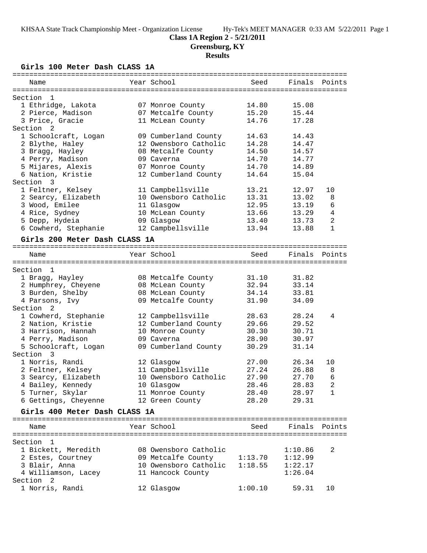#### **Class 1A Region 2 - 5/21/2011**

**Greensburg, KY**

### **Results**

**Girls 100 Meter Dash CLASS 1A**

| Year School<br>Seed<br>Finals<br>Points<br>Name<br>Section<br>- 1<br>1 Ethridge, Lakota<br>14.80<br>07 Monroe County<br>15.08<br>15.20<br>15.44<br>2 Pierce, Madison<br>07 Metcalfe County<br>3 Price, Gracie<br>14.76<br>11 McLean County<br>17.28<br>Section <sub>2</sub><br>14.63<br>1 Schoolcraft, Logan<br>09 Cumberland County<br>14.43<br>12 Owensboro Catholic<br>14.28<br>2 Blythe, Haley<br>14.47<br>14.50<br>3 Bragg, Hayley<br>08 Metcalfe County<br>14.57<br>14.70<br>4 Perry, Madison<br>09 Caverna<br>14.77<br>5 Mijares, Alexis<br>14.70<br>14.89<br>07 Monroe County<br>6 Nation, Kristie<br>14.64<br>12 Cumberland County<br>15.04<br>1 Feltner, Kelsey<br>11 Campbellsville<br>13.21<br>12.97<br>10<br>2 Searcy, Elizabeth<br>10 Owensboro Catholic<br>13.31<br>13.02<br>8<br>12.95<br>3 Wood, Emilee<br>13.19<br>6<br>11 Glasgow<br>4 Rice, Sydney<br>$\overline{4}$<br>10 McLean County<br>13.66<br>13.29<br>5 Depp, Hydeia<br>2<br>09 Glasgow<br>13.40<br>13.73<br>6 Cowherd, Stephanie<br>12 Campbellsville<br>13.94<br>13.88<br>$\mathbf{1}$<br>Girls 200 Meter Dash CLASS 1A<br>Year School<br>Finals<br>Seed<br>Points<br>Name<br>Section<br>1<br>31.10<br>31.82<br>1 Bragg, Hayley<br>08 Metcalfe County<br>2 Humphrey, Cheyene<br>08 McLean County<br>32.94<br>33.14<br>3 Burden, Shelby<br>34.14<br>33.81<br>08 McLean County<br>31.90<br>4 Parsons, Ivy<br>09 Metcalfe County<br>34.09<br>2<br>1 Cowherd, Stephanie<br>12 Campbellsville<br>28.63<br>28.24<br>4<br>2 Nation, Kristie<br>12 Cumberland County<br>29.66<br>29.52<br>30.30<br>3 Harrison, Hannah<br>10 Monroe County<br>30.71<br>28.90<br>30.97<br>4 Perry, Madison<br>09 Caverna<br>5 Schoolcraft, Logan<br>09 Cumberland County<br>30.29<br>31.14<br>Section 3<br>1 Norris, Randi<br>27.00<br>12 Glasgow<br>26.34<br>10<br>2 Feltner, Kelsey<br>11 Campbellsville<br>27.24<br>26.88<br>8<br>6<br>3 Searcy, Elizabeth<br>10 Owensboro Catholic<br>27.90<br>27.70<br>$\sqrt{2}$<br>4 Bailey, Kennedy<br>28.83<br>10 Glasgow<br>28.46<br>5 Turner, Skylar<br>28.40<br>28.97<br>11 Monroe County<br>1<br>6 Gettings, Cheyenne<br>12 Green County<br>28.20<br>29.31<br>Girls 400 Meter Dash CLASS 1A<br>Year School<br>Finals Points<br>Seed<br>Name<br>Section 1<br>1 Bickett, Meredith<br>08 Owensboro Catholic<br>2<br>1:10.86<br>09 Metcalfe County<br>1:13.70<br>1:12.99<br>2 Estes, Courtney<br>10 Owensboro Catholic<br>1:22.17<br>3 Blair, Anna<br>1:18.55 | Section 3<br>Section                                    |  |
|------------------------------------------------------------------------------------------------------------------------------------------------------------------------------------------------------------------------------------------------------------------------------------------------------------------------------------------------------------------------------------------------------------------------------------------------------------------------------------------------------------------------------------------------------------------------------------------------------------------------------------------------------------------------------------------------------------------------------------------------------------------------------------------------------------------------------------------------------------------------------------------------------------------------------------------------------------------------------------------------------------------------------------------------------------------------------------------------------------------------------------------------------------------------------------------------------------------------------------------------------------------------------------------------------------------------------------------------------------------------------------------------------------------------------------------------------------------------------------------------------------------------------------------------------------------------------------------------------------------------------------------------------------------------------------------------------------------------------------------------------------------------------------------------------------------------------------------------------------------------------------------------------------------------------------------------------------------------------------------------------------------------------------------------------------------------------------------------------------------------------------------------------------------------------------------------------------------------------------------------------------------------------------------------------------------------------------------------------------------------------------------------------------------------------------------------------------|---------------------------------------------------------|--|
|                                                                                                                                                                                                                                                                                                                                                                                                                                                                                                                                                                                                                                                                                                                                                                                                                                                                                                                                                                                                                                                                                                                                                                                                                                                                                                                                                                                                                                                                                                                                                                                                                                                                                                                                                                                                                                                                                                                                                                                                                                                                                                                                                                                                                                                                                                                                                                                                                                                            |                                                         |  |
|                                                                                                                                                                                                                                                                                                                                                                                                                                                                                                                                                                                                                                                                                                                                                                                                                                                                                                                                                                                                                                                                                                                                                                                                                                                                                                                                                                                                                                                                                                                                                                                                                                                                                                                                                                                                                                                                                                                                                                                                                                                                                                                                                                                                                                                                                                                                                                                                                                                            |                                                         |  |
|                                                                                                                                                                                                                                                                                                                                                                                                                                                                                                                                                                                                                                                                                                                                                                                                                                                                                                                                                                                                                                                                                                                                                                                                                                                                                                                                                                                                                                                                                                                                                                                                                                                                                                                                                                                                                                                                                                                                                                                                                                                                                                                                                                                                                                                                                                                                                                                                                                                            |                                                         |  |
|                                                                                                                                                                                                                                                                                                                                                                                                                                                                                                                                                                                                                                                                                                                                                                                                                                                                                                                                                                                                                                                                                                                                                                                                                                                                                                                                                                                                                                                                                                                                                                                                                                                                                                                                                                                                                                                                                                                                                                                                                                                                                                                                                                                                                                                                                                                                                                                                                                                            |                                                         |  |
|                                                                                                                                                                                                                                                                                                                                                                                                                                                                                                                                                                                                                                                                                                                                                                                                                                                                                                                                                                                                                                                                                                                                                                                                                                                                                                                                                                                                                                                                                                                                                                                                                                                                                                                                                                                                                                                                                                                                                                                                                                                                                                                                                                                                                                                                                                                                                                                                                                                            |                                                         |  |
|                                                                                                                                                                                                                                                                                                                                                                                                                                                                                                                                                                                                                                                                                                                                                                                                                                                                                                                                                                                                                                                                                                                                                                                                                                                                                                                                                                                                                                                                                                                                                                                                                                                                                                                                                                                                                                                                                                                                                                                                                                                                                                                                                                                                                                                                                                                                                                                                                                                            |                                                         |  |
|                                                                                                                                                                                                                                                                                                                                                                                                                                                                                                                                                                                                                                                                                                                                                                                                                                                                                                                                                                                                                                                                                                                                                                                                                                                                                                                                                                                                                                                                                                                                                                                                                                                                                                                                                                                                                                                                                                                                                                                                                                                                                                                                                                                                                                                                                                                                                                                                                                                            |                                                         |  |
|                                                                                                                                                                                                                                                                                                                                                                                                                                                                                                                                                                                                                                                                                                                                                                                                                                                                                                                                                                                                                                                                                                                                                                                                                                                                                                                                                                                                                                                                                                                                                                                                                                                                                                                                                                                                                                                                                                                                                                                                                                                                                                                                                                                                                                                                                                                                                                                                                                                            |                                                         |  |
|                                                                                                                                                                                                                                                                                                                                                                                                                                                                                                                                                                                                                                                                                                                                                                                                                                                                                                                                                                                                                                                                                                                                                                                                                                                                                                                                                                                                                                                                                                                                                                                                                                                                                                                                                                                                                                                                                                                                                                                                                                                                                                                                                                                                                                                                                                                                                                                                                                                            |                                                         |  |
|                                                                                                                                                                                                                                                                                                                                                                                                                                                                                                                                                                                                                                                                                                                                                                                                                                                                                                                                                                                                                                                                                                                                                                                                                                                                                                                                                                                                                                                                                                                                                                                                                                                                                                                                                                                                                                                                                                                                                                                                                                                                                                                                                                                                                                                                                                                                                                                                                                                            |                                                         |  |
|                                                                                                                                                                                                                                                                                                                                                                                                                                                                                                                                                                                                                                                                                                                                                                                                                                                                                                                                                                                                                                                                                                                                                                                                                                                                                                                                                                                                                                                                                                                                                                                                                                                                                                                                                                                                                                                                                                                                                                                                                                                                                                                                                                                                                                                                                                                                                                                                                                                            |                                                         |  |
|                                                                                                                                                                                                                                                                                                                                                                                                                                                                                                                                                                                                                                                                                                                                                                                                                                                                                                                                                                                                                                                                                                                                                                                                                                                                                                                                                                                                                                                                                                                                                                                                                                                                                                                                                                                                                                                                                                                                                                                                                                                                                                                                                                                                                                                                                                                                                                                                                                                            |                                                         |  |
|                                                                                                                                                                                                                                                                                                                                                                                                                                                                                                                                                                                                                                                                                                                                                                                                                                                                                                                                                                                                                                                                                                                                                                                                                                                                                                                                                                                                                                                                                                                                                                                                                                                                                                                                                                                                                                                                                                                                                                                                                                                                                                                                                                                                                                                                                                                                                                                                                                                            |                                                         |  |
|                                                                                                                                                                                                                                                                                                                                                                                                                                                                                                                                                                                                                                                                                                                                                                                                                                                                                                                                                                                                                                                                                                                                                                                                                                                                                                                                                                                                                                                                                                                                                                                                                                                                                                                                                                                                                                                                                                                                                                                                                                                                                                                                                                                                                                                                                                                                                                                                                                                            |                                                         |  |
|                                                                                                                                                                                                                                                                                                                                                                                                                                                                                                                                                                                                                                                                                                                                                                                                                                                                                                                                                                                                                                                                                                                                                                                                                                                                                                                                                                                                                                                                                                                                                                                                                                                                                                                                                                                                                                                                                                                                                                                                                                                                                                                                                                                                                                                                                                                                                                                                                                                            |                                                         |  |
|                                                                                                                                                                                                                                                                                                                                                                                                                                                                                                                                                                                                                                                                                                                                                                                                                                                                                                                                                                                                                                                                                                                                                                                                                                                                                                                                                                                                                                                                                                                                                                                                                                                                                                                                                                                                                                                                                                                                                                                                                                                                                                                                                                                                                                                                                                                                                                                                                                                            |                                                         |  |
|                                                                                                                                                                                                                                                                                                                                                                                                                                                                                                                                                                                                                                                                                                                                                                                                                                                                                                                                                                                                                                                                                                                                                                                                                                                                                                                                                                                                                                                                                                                                                                                                                                                                                                                                                                                                                                                                                                                                                                                                                                                                                                                                                                                                                                                                                                                                                                                                                                                            |                                                         |  |
|                                                                                                                                                                                                                                                                                                                                                                                                                                                                                                                                                                                                                                                                                                                                                                                                                                                                                                                                                                                                                                                                                                                                                                                                                                                                                                                                                                                                                                                                                                                                                                                                                                                                                                                                                                                                                                                                                                                                                                                                                                                                                                                                                                                                                                                                                                                                                                                                                                                            |                                                         |  |
|                                                                                                                                                                                                                                                                                                                                                                                                                                                                                                                                                                                                                                                                                                                                                                                                                                                                                                                                                                                                                                                                                                                                                                                                                                                                                                                                                                                                                                                                                                                                                                                                                                                                                                                                                                                                                                                                                                                                                                                                                                                                                                                                                                                                                                                                                                                                                                                                                                                            |                                                         |  |
|                                                                                                                                                                                                                                                                                                                                                                                                                                                                                                                                                                                                                                                                                                                                                                                                                                                                                                                                                                                                                                                                                                                                                                                                                                                                                                                                                                                                                                                                                                                                                                                                                                                                                                                                                                                                                                                                                                                                                                                                                                                                                                                                                                                                                                                                                                                                                                                                                                                            |                                                         |  |
|                                                                                                                                                                                                                                                                                                                                                                                                                                                                                                                                                                                                                                                                                                                                                                                                                                                                                                                                                                                                                                                                                                                                                                                                                                                                                                                                                                                                                                                                                                                                                                                                                                                                                                                                                                                                                                                                                                                                                                                                                                                                                                                                                                                                                                                                                                                                                                                                                                                            |                                                         |  |
|                                                                                                                                                                                                                                                                                                                                                                                                                                                                                                                                                                                                                                                                                                                                                                                                                                                                                                                                                                                                                                                                                                                                                                                                                                                                                                                                                                                                                                                                                                                                                                                                                                                                                                                                                                                                                                                                                                                                                                                                                                                                                                                                                                                                                                                                                                                                                                                                                                                            |                                                         |  |
|                                                                                                                                                                                                                                                                                                                                                                                                                                                                                                                                                                                                                                                                                                                                                                                                                                                                                                                                                                                                                                                                                                                                                                                                                                                                                                                                                                                                                                                                                                                                                                                                                                                                                                                                                                                                                                                                                                                                                                                                                                                                                                                                                                                                                                                                                                                                                                                                                                                            |                                                         |  |
|                                                                                                                                                                                                                                                                                                                                                                                                                                                                                                                                                                                                                                                                                                                                                                                                                                                                                                                                                                                                                                                                                                                                                                                                                                                                                                                                                                                                                                                                                                                                                                                                                                                                                                                                                                                                                                                                                                                                                                                                                                                                                                                                                                                                                                                                                                                                                                                                                                                            |                                                         |  |
|                                                                                                                                                                                                                                                                                                                                                                                                                                                                                                                                                                                                                                                                                                                                                                                                                                                                                                                                                                                                                                                                                                                                                                                                                                                                                                                                                                                                                                                                                                                                                                                                                                                                                                                                                                                                                                                                                                                                                                                                                                                                                                                                                                                                                                                                                                                                                                                                                                                            |                                                         |  |
|                                                                                                                                                                                                                                                                                                                                                                                                                                                                                                                                                                                                                                                                                                                                                                                                                                                                                                                                                                                                                                                                                                                                                                                                                                                                                                                                                                                                                                                                                                                                                                                                                                                                                                                                                                                                                                                                                                                                                                                                                                                                                                                                                                                                                                                                                                                                                                                                                                                            |                                                         |  |
|                                                                                                                                                                                                                                                                                                                                                                                                                                                                                                                                                                                                                                                                                                                                                                                                                                                                                                                                                                                                                                                                                                                                                                                                                                                                                                                                                                                                                                                                                                                                                                                                                                                                                                                                                                                                                                                                                                                                                                                                                                                                                                                                                                                                                                                                                                                                                                                                                                                            |                                                         |  |
|                                                                                                                                                                                                                                                                                                                                                                                                                                                                                                                                                                                                                                                                                                                                                                                                                                                                                                                                                                                                                                                                                                                                                                                                                                                                                                                                                                                                                                                                                                                                                                                                                                                                                                                                                                                                                                                                                                                                                                                                                                                                                                                                                                                                                                                                                                                                                                                                                                                            |                                                         |  |
|                                                                                                                                                                                                                                                                                                                                                                                                                                                                                                                                                                                                                                                                                                                                                                                                                                                                                                                                                                                                                                                                                                                                                                                                                                                                                                                                                                                                                                                                                                                                                                                                                                                                                                                                                                                                                                                                                                                                                                                                                                                                                                                                                                                                                                                                                                                                                                                                                                                            |                                                         |  |
|                                                                                                                                                                                                                                                                                                                                                                                                                                                                                                                                                                                                                                                                                                                                                                                                                                                                                                                                                                                                                                                                                                                                                                                                                                                                                                                                                                                                                                                                                                                                                                                                                                                                                                                                                                                                                                                                                                                                                                                                                                                                                                                                                                                                                                                                                                                                                                                                                                                            |                                                         |  |
|                                                                                                                                                                                                                                                                                                                                                                                                                                                                                                                                                                                                                                                                                                                                                                                                                                                                                                                                                                                                                                                                                                                                                                                                                                                                                                                                                                                                                                                                                                                                                                                                                                                                                                                                                                                                                                                                                                                                                                                                                                                                                                                                                                                                                                                                                                                                                                                                                                                            |                                                         |  |
|                                                                                                                                                                                                                                                                                                                                                                                                                                                                                                                                                                                                                                                                                                                                                                                                                                                                                                                                                                                                                                                                                                                                                                                                                                                                                                                                                                                                                                                                                                                                                                                                                                                                                                                                                                                                                                                                                                                                                                                                                                                                                                                                                                                                                                                                                                                                                                                                                                                            |                                                         |  |
|                                                                                                                                                                                                                                                                                                                                                                                                                                                                                                                                                                                                                                                                                                                                                                                                                                                                                                                                                                                                                                                                                                                                                                                                                                                                                                                                                                                                                                                                                                                                                                                                                                                                                                                                                                                                                                                                                                                                                                                                                                                                                                                                                                                                                                                                                                                                                                                                                                                            |                                                         |  |
|                                                                                                                                                                                                                                                                                                                                                                                                                                                                                                                                                                                                                                                                                                                                                                                                                                                                                                                                                                                                                                                                                                                                                                                                                                                                                                                                                                                                                                                                                                                                                                                                                                                                                                                                                                                                                                                                                                                                                                                                                                                                                                                                                                                                                                                                                                                                                                                                                                                            |                                                         |  |
|                                                                                                                                                                                                                                                                                                                                                                                                                                                                                                                                                                                                                                                                                                                                                                                                                                                                                                                                                                                                                                                                                                                                                                                                                                                                                                                                                                                                                                                                                                                                                                                                                                                                                                                                                                                                                                                                                                                                                                                                                                                                                                                                                                                                                                                                                                                                                                                                                                                            |                                                         |  |
|                                                                                                                                                                                                                                                                                                                                                                                                                                                                                                                                                                                                                                                                                                                                                                                                                                                                                                                                                                                                                                                                                                                                                                                                                                                                                                                                                                                                                                                                                                                                                                                                                                                                                                                                                                                                                                                                                                                                                                                                                                                                                                                                                                                                                                                                                                                                                                                                                                                            |                                                         |  |
|                                                                                                                                                                                                                                                                                                                                                                                                                                                                                                                                                                                                                                                                                                                                                                                                                                                                                                                                                                                                                                                                                                                                                                                                                                                                                                                                                                                                                                                                                                                                                                                                                                                                                                                                                                                                                                                                                                                                                                                                                                                                                                                                                                                                                                                                                                                                                                                                                                                            |                                                         |  |
|                                                                                                                                                                                                                                                                                                                                                                                                                                                                                                                                                                                                                                                                                                                                                                                                                                                                                                                                                                                                                                                                                                                                                                                                                                                                                                                                                                                                                                                                                                                                                                                                                                                                                                                                                                                                                                                                                                                                                                                                                                                                                                                                                                                                                                                                                                                                                                                                                                                            |                                                         |  |
|                                                                                                                                                                                                                                                                                                                                                                                                                                                                                                                                                                                                                                                                                                                                                                                                                                                                                                                                                                                                                                                                                                                                                                                                                                                                                                                                                                                                                                                                                                                                                                                                                                                                                                                                                                                                                                                                                                                                                                                                                                                                                                                                                                                                                                                                                                                                                                                                                                                            |                                                         |  |
|                                                                                                                                                                                                                                                                                                                                                                                                                                                                                                                                                                                                                                                                                                                                                                                                                                                                                                                                                                                                                                                                                                                                                                                                                                                                                                                                                                                                                                                                                                                                                                                                                                                                                                                                                                                                                                                                                                                                                                                                                                                                                                                                                                                                                                                                                                                                                                                                                                                            |                                                         |  |
|                                                                                                                                                                                                                                                                                                                                                                                                                                                                                                                                                                                                                                                                                                                                                                                                                                                                                                                                                                                                                                                                                                                                                                                                                                                                                                                                                                                                                                                                                                                                                                                                                                                                                                                                                                                                                                                                                                                                                                                                                                                                                                                                                                                                                                                                                                                                                                                                                                                            |                                                         |  |
|                                                                                                                                                                                                                                                                                                                                                                                                                                                                                                                                                                                                                                                                                                                                                                                                                                                                                                                                                                                                                                                                                                                                                                                                                                                                                                                                                                                                                                                                                                                                                                                                                                                                                                                                                                                                                                                                                                                                                                                                                                                                                                                                                                                                                                                                                                                                                                                                                                                            |                                                         |  |
|                                                                                                                                                                                                                                                                                                                                                                                                                                                                                                                                                                                                                                                                                                                                                                                                                                                                                                                                                                                                                                                                                                                                                                                                                                                                                                                                                                                                                                                                                                                                                                                                                                                                                                                                                                                                                                                                                                                                                                                                                                                                                                                                                                                                                                                                                                                                                                                                                                                            |                                                         |  |
|                                                                                                                                                                                                                                                                                                                                                                                                                                                                                                                                                                                                                                                                                                                                                                                                                                                                                                                                                                                                                                                                                                                                                                                                                                                                                                                                                                                                                                                                                                                                                                                                                                                                                                                                                                                                                                                                                                                                                                                                                                                                                                                                                                                                                                                                                                                                                                                                                                                            |                                                         |  |
|                                                                                                                                                                                                                                                                                                                                                                                                                                                                                                                                                                                                                                                                                                                                                                                                                                                                                                                                                                                                                                                                                                                                                                                                                                                                                                                                                                                                                                                                                                                                                                                                                                                                                                                                                                                                                                                                                                                                                                                                                                                                                                                                                                                                                                                                                                                                                                                                                                                            |                                                         |  |
|                                                                                                                                                                                                                                                                                                                                                                                                                                                                                                                                                                                                                                                                                                                                                                                                                                                                                                                                                                                                                                                                                                                                                                                                                                                                                                                                                                                                                                                                                                                                                                                                                                                                                                                                                                                                                                                                                                                                                                                                                                                                                                                                                                                                                                                                                                                                                                                                                                                            |                                                         |  |
|                                                                                                                                                                                                                                                                                                                                                                                                                                                                                                                                                                                                                                                                                                                                                                                                                                                                                                                                                                                                                                                                                                                                                                                                                                                                                                                                                                                                                                                                                                                                                                                                                                                                                                                                                                                                                                                                                                                                                                                                                                                                                                                                                                                                                                                                                                                                                                                                                                                            |                                                         |  |
|                                                                                                                                                                                                                                                                                                                                                                                                                                                                                                                                                                                                                                                                                                                                                                                                                                                                                                                                                                                                                                                                                                                                                                                                                                                                                                                                                                                                                                                                                                                                                                                                                                                                                                                                                                                                                                                                                                                                                                                                                                                                                                                                                                                                                                                                                                                                                                                                                                                            |                                                         |  |
|                                                                                                                                                                                                                                                                                                                                                                                                                                                                                                                                                                                                                                                                                                                                                                                                                                                                                                                                                                                                                                                                                                                                                                                                                                                                                                                                                                                                                                                                                                                                                                                                                                                                                                                                                                                                                                                                                                                                                                                                                                                                                                                                                                                                                                                                                                                                                                                                                                                            | 4 Williamson, Lacey<br>11 Hancock County<br>1:26.04     |  |
| Section <sub>2</sub>                                                                                                                                                                                                                                                                                                                                                                                                                                                                                                                                                                                                                                                                                                                                                                                                                                                                                                                                                                                                                                                                                                                                                                                                                                                                                                                                                                                                                                                                                                                                                                                                                                                                                                                                                                                                                                                                                                                                                                                                                                                                                                                                                                                                                                                                                                                                                                                                                                       |                                                         |  |
|                                                                                                                                                                                                                                                                                                                                                                                                                                                                                                                                                                                                                                                                                                                                                                                                                                                                                                                                                                                                                                                                                                                                                                                                                                                                                                                                                                                                                                                                                                                                                                                                                                                                                                                                                                                                                                                                                                                                                                                                                                                                                                                                                                                                                                                                                                                                                                                                                                                            | 1 Norris, Randi<br>12 Glasgow<br>1:00.10<br>59.31<br>10 |  |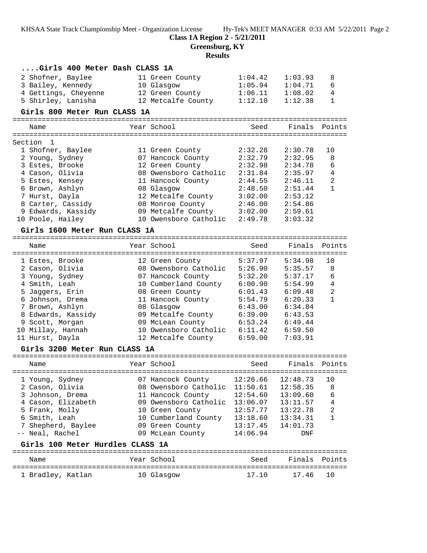**Class 1A Region 2 - 5/21/2011**

**Greensburg, KY**

# **Results**

| Girls 400 Meter Dash CLASS 1A                                      |                       |         |         |                |
|--------------------------------------------------------------------|-----------------------|---------|---------|----------------|
| 2 Shofner, Baylee                                                  | 11 Green County       | 1:04.42 | 1:03.93 | 8              |
| 3 Bailey, Kennedy                                                  | 10 Glasgow            | 1:05.94 | 1:04.71 | 6              |
| 4 Gettings, Cheyenne                                               | 12 Green County       | 1:06.11 | 1:08.02 | 4              |
| 5 Shirley, Lanisha                                                 | 12 Metcalfe County    | 1:12.10 | 1:12.38 | $\mathbf{1}$   |
| Girls 800 Meter Run CLASS 1A                                       |                       |         |         |                |
|                                                                    |                       |         |         |                |
| Name                                                               | Year School           | Seed    | Finals  | Points         |
| Section<br>1                                                       |                       |         |         |                |
| 1 Shofner, Baylee                                                  | 11 Green County       | 2:32.28 | 2:30.78 | 10             |
| 2 Young, Sydney                                                    | 07 Hancock County     | 2:32.79 | 2:32.95 | 8              |
| 3 Estes, Brooke                                                    | 12 Green County       | 2:32.98 | 2:34.78 | 6              |
| 4 Cason, Olivia                                                    | 08 Owensboro Catholic | 2:31.84 | 2:35.97 | $\overline{4}$ |
| 5 Estes, Kensey                                                    | 11 Hancock County     | 2:44.55 | 2:46.11 | 2              |
| 6 Brown, Ashlyn                                                    | 08 Glasgow            | 2:48.50 | 2:51.44 | $\mathbf{1}$   |
| 7 Hurst, Dayla                                                     | 12 Metcalfe County    | 3:02.00 | 2:53.12 |                |
| 8 Carter, Cassidy                                                  | 08 Monroe County      | 2:46.00 | 2:54.86 |                |
| 9 Edwards, Kassidy                                                 | 09 Metcalfe County    | 3:02.00 | 2:59.61 |                |
| 10 Poole, Hailey                                                   | 10 Owensboro Catholic | 2:49.78 | 3:03.32 |                |
| Girls 1600 Meter Run CLASS 1A                                      |                       |         |         |                |
|                                                                    |                       |         |         |                |
| Name                                                               | Year School           | Seed    | Finals  | Points         |
|                                                                    |                       |         |         |                |
| 1 Estes, Brooke                                                    | 12 Green County       | 5:37.97 | 5:34.98 | 10             |
| 2 Cason, Olivia                                                    | 08 Owensboro Catholic | 5:26.90 | 5:35.57 | 8              |
| 3 Young, Sydney                                                    | 07 Hancock County     | 5:32.20 | 5:37.17 | 6              |
| 4 Smith, Leah                                                      | 10 Cumberland County  | 6:00.90 | 5:54.99 | $\overline{4}$ |
| 5 Jaggers, Erin                                                    | 08 Green County       | 6:01.43 | 6:09.48 | $\overline{2}$ |
| 6 Johnson, Drema                                                   | 11 Hancock County     | 5:54.79 | 6:20.33 | $\mathbf{1}$   |
| 7 Brown, Ashlyn                                                    | 08 Glasgow            | 6:43.00 | 6:34.84 |                |
| 8 Edwards, Kassidy                                                 | 09 Metcalfe County    | 6:39.00 | 6:43.53 |                |
| 9 Scott, Morgan                                                    | 09 McLean County      | 6:53.24 | 6:49.44 |                |
| 10 Millay, Hannah                                                  | 10 Owensboro Catholic | 6:11.42 | 6:59.50 |                |
| 11 Hurst, Dayla                                                    | 12 Metcalfe County    | 6:59.00 | 7:03.91 |                |
| Girls 3200 Meter Run CLASS 1A<br>================================= |                       |         |         |                |

| Name                               | Year School                                | Seed                 | Finals Points        |         |
|------------------------------------|--------------------------------------------|----------------------|----------------------|---------|
| 1 Young, Sydney<br>2 Cason, Olivia | 07 Hancock County<br>08 Owensboro Catholic | 12:26.66<br>11:50.61 | 12:48.73<br>12:58.35 | 10<br>8 |
| 3 Johnson, Drema                   | 11 Hancock County                          | 12:54.60             | 13:09.60             | 6       |
| 4 Cason, Elizabeth                 | 09 Owensboro Catholic                      | 13:06.07             | 13:11.57             | 4       |
| 5 Frank, Molly                     | 10 Green County                            | 12:57.77             | 13:22.78             | 2       |
| 6 Smith, Leah                      | 10 Cumberland County                       | 13:18.60             | 13:34.31             |         |
| 7 Shepherd, Baylee                 | 09 Green County                            | 13:17.45             | 14:01.73             |         |
| -- Neal, Rachel                    | 09 McLean County                           | 14:06.94             | DNF                  |         |
|                                    |                                            |                      |                      |         |

### **Girls 100 Meter Hurdles CLASS 1A**

| Name              | Year School | Seed  | Finals Points |  |
|-------------------|-------------|-------|---------------|--|
| 1 Bradley, Katlan | 10 Glasgow  | 17.10 | 17.46 10      |  |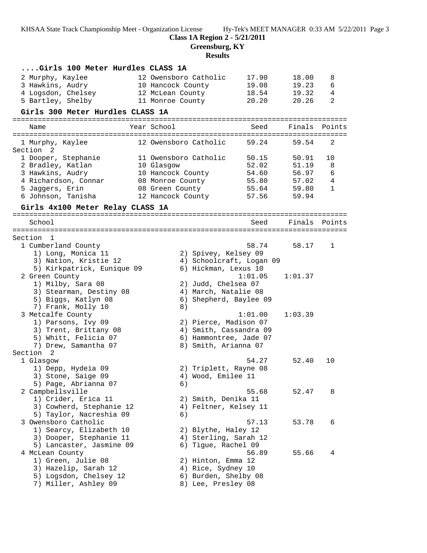**Class 1A Region 2 - 5/21/2011**

**Greensburg, KY**

### **Results**

| Girls 100 Meter Hurdles CLASS 1A                |                                      |                          |               |                |
|-------------------------------------------------|--------------------------------------|--------------------------|---------------|----------------|
| 2 Murphy, Kaylee                                | 12 Owensboro Catholic                | 17.90                    | 18.00         | 8              |
| 3 Hawkins, Audry                                | 10 Hancock County                    | 19.08                    | 19.23         | 6              |
| 4 Logsdon, Chelsey                              | 12 McLean County                     | 18.54                    | 19.32         | $\overline{4}$ |
| 5 Bartley, Shelby                               | 11 Monroe County                     | 20.20                    | 20.26         | 2              |
| Girls 300 Meter Hurdles CLASS 1A                |                                      |                          |               |                |
| Name                                            | Year School                          | Seed                     | Finals        | Points         |
|                                                 |                                      |                          |               |                |
| 1 Murphy, Kaylee<br>Section <sub>2</sub>        | 12 Owensboro Catholic                | 59.24                    | 59.54         | 2              |
| 1 Dooper, Stephanie                             | 11 Owensboro Catholic                | 50.15                    | 50.91         | 10             |
| 2 Bradley, Katlan                               | 10 Glasgow                           | 52.02                    | 51.19         | 8              |
| 3 Hawkins, Audry                                | 10 Hancock County                    | 54.60                    | 56.97         | 6              |
| 4 Richardson, Connar                            | 08 Monroe County                     | 55.80                    | 57.02         | 4              |
| 5 Jaggers, Erin<br>6 Johnson, Tanisha           | 08 Green County<br>12 Hancock County | 55.64<br>57.56           | 59.80         | 1              |
|                                                 |                                      |                          | 59.94         |                |
| Girls 4x100 Meter Relay CLASS 1A                |                                      |                          |               |                |
| School                                          |                                      | Seed                     | Finals Points |                |
|                                                 |                                      |                          |               |                |
| Section 1                                       |                                      |                          |               |                |
| 1 Cumberland County                             |                                      | 58.74                    | 58.17         | 1              |
| 1) Long, Monica 11                              |                                      | 2) Spivey, Kelsey 09     |               |                |
| 3) Nation, Kristie 12                           |                                      | 4) Schoolcraft, Logan 09 |               |                |
| 5) Kirkpatrick, Eunique 09                      |                                      | 6) Hickman, Lexus 10     |               |                |
| 2 Green County                                  |                                      | 1:01.05                  | 1:01.37       |                |
| 1) Milby, Sara 08                               |                                      | 2) Judd, Chelsea 07      |               |                |
| 3) Stearman, Destiny 08                         |                                      | 4) March, Natalie 08     |               |                |
| 5) Biggs, Katlyn 08                             |                                      | 6) Shepherd, Baylee 09   |               |                |
| 7) Frank, Molly 10<br>3 Metcalfe County         | 8)                                   | 1:01.00                  | 1:03.39       |                |
| 1) Parsons, Ivy 09                              |                                      | 2) Pierce, Madison 07    |               |                |
| 3) Trent, Brittany 08                           |                                      | 4) Smith, Cassandra 09   |               |                |
| 5) Whitt, Felicia 07                            |                                      | 6) Hammontree, Jade 07   |               |                |
| 7) Drew, Samantha 07                            |                                      | 8) Smith, Arianna 07     |               |                |
| Section <sub>2</sub>                            |                                      |                          |               |                |
| 1 Glasgow                                       |                                      | 54.27                    | 52.40         | 10             |
| 1) Depp, Hydeia 09                              |                                      | 2) Triplett, Rayne 08    |               |                |
| 3) Stone, Saige 09                              |                                      | 4) Wood, Emilee 11       |               |                |
| 5) Page, Abrianna 07                            | 6)                                   |                          |               |                |
| 2 Campbellsville                                |                                      | 55.68                    | 52.47         | 8              |
| 1) Crider, Erica 11                             |                                      | 2) Smith, Denika 11      |               |                |
| 3) Cowherd, Stephanie 12                        |                                      | 4) Feltner, Kelsey 11    |               |                |
| 5) Taylor, Nacreshia 09                         | 6)                                   | 57.13                    | 53.78         | 6              |
| 3 Owensboro Catholic<br>1) Searcy, Elizabeth 10 |                                      | 2) Blythe, Haley 12      |               |                |
| 3) Dooper, Stephanie 11                         |                                      | 4) Sterling, Sarah 12    |               |                |
| 5) Lancaster, Jasmine 09                        |                                      | 6) Tigue, Rachel 09      |               |                |
| 4 McLean County                                 |                                      | 56.89                    | 55.66         | 4              |
| 1) Green, Julie 08                              |                                      | 2) Hinton, Emma 12       |               |                |
| 3) Hazelip, Sarah 12                            |                                      | 4) Rice, Sydney 10       |               |                |
| 5) Logsdon, Chelsey 12                          |                                      | 6) Burden, Shelby 08     |               |                |
| 7) Miller, Ashley 09                            |                                      | 8) Lee, Presley 08       |               |                |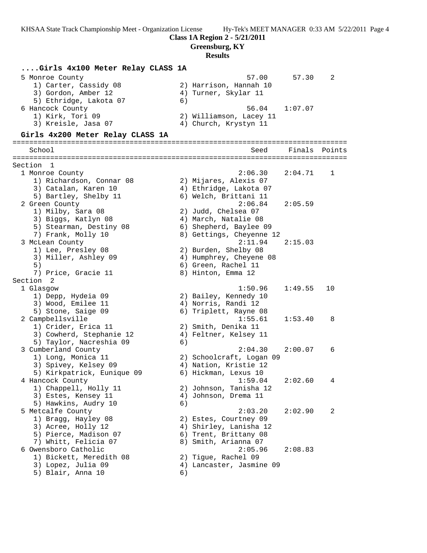**Class 1A Region 2 - 5/21/2011**

**Greensburg, KY**

#### **Results**

#### **....Girls 4x100 Meter Relay CLASS 1A**

| 5 Monroe County        | 57.30<br>57.00          |  |
|------------------------|-------------------------|--|
| 1) Carter, Cassidy 08  | 2) Harrison, Hannah 10  |  |
| 3) Gordon, Amber 12    | 4) Turner, Skylar 11    |  |
| 5) Ethridge, Lakota 07 | 6)                      |  |
| 6 Hancock County       | 1:07.07<br>56.04        |  |
| 1) Kirk, Tori 09       | 2) Williamson, Lacey 11 |  |
| 3) Kreisle, Jasa 07    | 4) Church, Krystyn 11   |  |
|                        |                         |  |

#### **Girls 4x200 Meter Relay CLASS 1A**

================================================================================ School Seed Finals Points ================================================================================ Section 1 1 Monroe County 2:06.30 2:04.71 1 1) Richardson, Connar 08 2) Mijares, Alexis 07 3) Catalan, Karen 10 4) Ethridge, Lakota 07 5) Bartley, Shelby 11 6) Welch, Brittani 11 2 Green County 2:06.84 2:05.59 1) Milby, Sara 08 2) Judd, Chelsea 07 3) Biggs, Katlyn 08 4) March, Natalie 08 5) Stearman, Destiny 08 6) Shepherd, Baylee 09 7) Frank, Molly 10 8) Gettings, Cheyenne 12 3 McLean County 2:11.94 2:15.03 1) Lee, Presley 08 2) Burden, Shelby 08 3) Miller, Ashley 09 4) Humphrey, Cheyene 08 5) 6) Green, Rachel 11 7) Price, Gracie 11 and 8) Hinton, Emma 12 Section 2 1 Glasgow 1:50.96 1:49.55 10 1) Depp, Hydeia 09 2) Bailey, Kennedy 10 3) Wood, Emilee 11 4) Norris, Randi 12 5) Stone, Saige 09 6) Triplett, Rayne 08 2 Campbellsville 1:55.61 1:53.40 8 1) Crider, Erica 11 2) Smith, Denika 11 3) Cowherd, Stephanie 12 4) Feltner, Kelsey 11 5) Taylor, Nacreshia 09 (6) 3 Cumberland County 2:04.30 2:00.07 6 1) Long, Monica 11 2) Schoolcraft, Logan 09 3) Spivey, Kelsey 09 4) Nation, Kristie 12 5) Kirkpatrick, Eunique 09 6) Hickman, Lexus 10 4 Hancock County 1:59.04 2:02.60 4 1) Chappell, Holly 11 2) Johnson, Tanisha 12 3) Estes, Kensey 11 (4) Johnson, Drema 11 5) Hawkins, Audry 10 (6) 5 Metcalfe County 2:03.20 2:02.90 2 1) Bragg, Hayley 08 2) Estes, Courtney 09 3) Acree, Holly 12 4) Shirley, Lanisha 12 5) Pierce, Madison 07 6) Trent, Brittany 08 7) Whitt, Felicia 07 (8) 8 Smith, Arianna 07 6 Owensboro Catholic 2:05.96 2:08.83 1) Bickett, Meredith 08 2) Tigue, Rachel 09 3) Lopez, Julia 09 4) Lancaster, Jasmine 09 5) Blair, Anna 10 (6)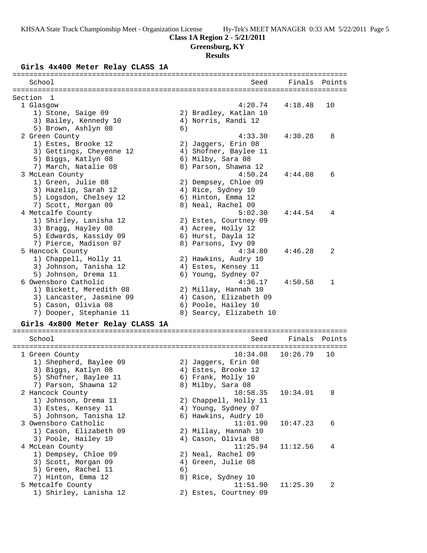**Greensburg, KY**

#### **Results**

### **Girls 4x400 Meter Relay CLASS 1A**

| ===================<br>==============           |    |                                  |          |        |
|-------------------------------------------------|----|----------------------------------|----------|--------|
| School                                          |    | Seed                             | Finals   | Points |
|                                                 |    |                                  |          |        |
| Section<br>-1                                   |    |                                  |          |        |
| 1 Glasgow                                       |    | 4:20.74<br>2) Bradley, Katlan 10 | 4:18.48  | 10     |
| 1) Stone, Saige 09<br>3) Bailey, Kennedy 10     |    | 4) Norris, Randi 12              |          |        |
| 5) Brown, Ashlyn 08                             | 6) |                                  |          |        |
| 2 Green County                                  |    | 4:33.30                          | 4:30.28  | 8      |
| 1) Estes, Brooke 12                             |    | 2) Jaggers, Erin 08              |          |        |
|                                                 |    | 4) Shofner, Baylee 11            |          |        |
| 3) Gettings, Cheyenne 12<br>5) Biggs, Katlyn 08 |    | 6) Milby, Sara 08                |          |        |
| 7) March, Natalie 08                            |    | 8) Parson, Shawna 12             |          |        |
| 3 McLean County                                 |    | 4:50.24                          | 4:44.08  | 6      |
| 1) Green, Julie 08                              |    | 2) Dempsey, Chloe 09             |          |        |
| 3) Hazelip, Sarah 12                            |    | 4) Rice, Sydney 10               |          |        |
| 5) Logsdon, Chelsey 12                          |    | 6) Hinton, Emma 12               |          |        |
| 7) Scott, Morgan 09                             |    | 8) Neal, Rachel 09               |          |        |
| 4 Metcalfe County                               |    | 5:02.30                          | 4:44.54  | 4      |
| 1) Shirley, Lanisha 12                          |    | 2) Estes, Courtney 09            |          |        |
| 3) Bragg, Hayley 08                             |    | 4) Acree, Holly 12               |          |        |
| 5) Edwards, Kassidy 09                          |    | 6) Hurst, Dayla 12               |          |        |
| 7) Pierce, Madison 07                           |    | 8) Parsons, Ivy 09               |          |        |
| 5 Hancock County                                |    | 4:34.80                          | 4:46.28  | 2      |
| 1) Chappell, Holly 11                           |    | 2) Hawkins, Audry 10             |          |        |
| 3) Johnson, Tanisha 12                          |    | 4) Estes, Kensey 11              |          |        |
| 5) Johnson, Drema 11                            |    | 6) Young, Sydney 07              |          |        |
| 6 Owensboro Catholic                            |    | 4:36.17                          | 4:50.58  | 1      |
| 1) Bickett, Meredith 08                         |    | 2) Millay, Hannah 10             |          |        |
| 3) Lancaster, Jasmine 09                        |    | 4) Cason, Elizabeth 09           |          |        |
| 5) Cason, Olivia 08                             |    | 6) Poole, Hailey 10              |          |        |
| 7) Dooper, Stephanie 11                         |    | 8) Searcy, Elizabeth 10          |          |        |
|                                                 |    |                                  |          |        |
| Girls 4x800 Meter Relay CLASS 1A                |    |                                  |          |        |
| School                                          |    | Seed                             | Finals   | Points |
|                                                 |    |                                  |          |        |
| 1 Green County                                  |    | 10:34.08                         | 10:26.79 | 10     |
| 1) Shepherd, Baylee 09                          |    | 2) Jaggers, Erin 08              |          |        |
| 3) Biggs, Katlyn 08                             |    | 4) Estes, Brooke 12              |          |        |
| 5) Shofner, Baylee 11                           |    | 6) Frank, Molly 10               |          |        |
| 7) Parson, Shawna 12                            |    | 8) Milby, Sara 08                |          |        |
| 2 Hancock County                                |    | 10:58.35                         | 10:34.01 | 8      |
| 1) Johnson, Drema 11                            |    | 2) Chappell, Holly 11            |          |        |
| 3) Estes, Kensey 11                             |    | 4) Young, Sydney 07              |          |        |
| 5) Johnson, Tanisha 12                          |    | 6) Hawkins, Audry 10             |          |        |
| 3 Owensboro Catholic                            |    | 11:01.90                         | 10:47.23 | 6      |
| 1) Cason, Elizabeth 09                          |    | 2) Millay, Hannah 10             |          |        |
| 3) Poole, Hailey 10                             |    | 4) Cason, Olivia 08              |          |        |
| 4 McLean County                                 |    | 11:25.94                         | 11:12.56 | 4      |
| 1) Dempsey, Chloe 09                            |    | 2) Neal, Rachel 09               |          |        |
| 3) Scott, Morgan 09                             |    | 4) Green, Julie 08               |          |        |
| 5) Green, Rachel 11                             | 6) |                                  |          |        |
| 7) Hinton, Emma 12                              |    | 8) Rice, Sydney 10               |          |        |
| 5 Metcalfe County                               |    | 11:51.90                         | 11:25.39 | 2      |
| 1) Shirley, Lanisha 12                          |    | 2) Estes, Courtney 09            |          |        |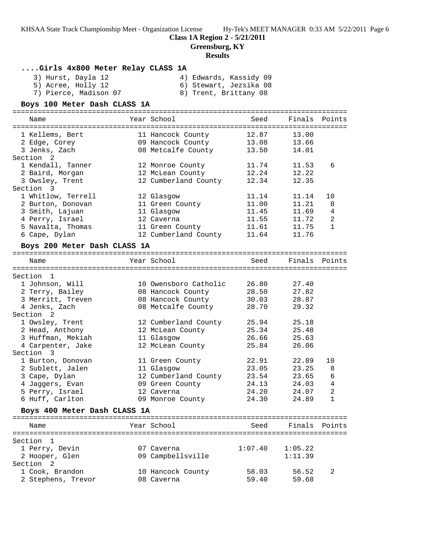### **Class 1A Region 2 - 5/21/2011**

**Greensburg, KY**

#### **Results**

### **....Girls 4x800 Meter Relay CLASS 1A**

Section 2

3) Hurst, Dayla 12 4) Edwards, Kassidy 09

- 5) Acree, Holly 12 6) Stewart, Jezsika 08
	- **Boys 100 Meter Dash CLASS 1A**

7) Pierce, Madison 07 8) Trent, Brittany 08

|  | boys lov meter Dash Chass IA |  |  |
|--|------------------------------|--|--|
|  |                              |  |  |

| Name                         | Year School           | Seed    | Finals        | Points       |
|------------------------------|-----------------------|---------|---------------|--------------|
|                              |                       |         |               |              |
| 1 Kellems, Bert              | 11 Hancock County     | 12.87   | 13.00         |              |
| 2 Edge, Corey                | 09 Hancock County     | 13.08   | 13.66         |              |
| 3 Jenks, Zach                | 08 Metcalfe County    | 13.50   | 14.01         |              |
| Section 2                    |                       |         |               |              |
| 1 Kendall, Tanner            | 12 Monroe County      | 11.74   | 11.53         | 6            |
| 2 Baird, Morgan              | 12 McLean County      | 12.24   | 12.22         |              |
| 3 Owsley, Trent              | 12 Cumberland County  | 12.34   | 12.35         |              |
| Section 3                    |                       |         |               |              |
| 1 Whitlow, Terrell           | 12 Glasgow            | 11.14   | 11.14         | 10           |
| 2 Burton, Donovan            | 11 Green County       | 11.00   | 11.21         | 8            |
| 3 Smith, Lajuan              | 11 Glasgow            | 11.45   | 11.69         | 4            |
| 4 Perry, Israel              | 12 Caverna            | 11.55   | 11.72         | 2            |
| 5 Navalta, Thomas            | 11 Green County       | 11.61   | 11.75         | 1            |
| 6 Cape, Dylan                | 12 Cumberland County  | 11.64   | 11.76         |              |
| Boys 200 Meter Dash CLASS 1A |                       |         |               |              |
|                              |                       |         |               |              |
| Name                         | Year School           | Seed    | Finals Points |              |
| Section<br>-1                |                       |         |               |              |
| 1 Johnson, Will              | 10 Owensboro Catholic | 26.80   | 27.40         |              |
| 2 Terry, Bailey              | 08 Hancock County     | 28.50   | 27.82         |              |
| 3 Merritt, Treven            | 08 Hancock County     | 30.03   | 28.87         |              |
| 4 Jenks, Zach                | 08 Metcalfe County    | 28.70   | 29.32         |              |
| Section<br>2                 |                       |         |               |              |
| 1 Owsley, Trent              | 12 Cumberland County  | 25.94   | 25.18         |              |
| 2 Head, Anthony              | 12 McLean County      | 25.34   | 25.48         |              |
| 3 Huffman, Mekiah            | 11 Glasgow            | 26.66   | 25.63         |              |
| 4 Carpenter, Jake            | 12 McLean County      | 25.84   | 26.06         |              |
| Section 3                    |                       |         |               |              |
| 1 Burton, Donovan            | 11 Green County       | 22.91   | 22.89         | 10           |
| 2 Sublett, Jalen             | 11 Glasgow            | 23.05   | 23.25         | 8            |
| 3 Cape, Dylan                | 12 Cumberland County  | 23.54   | 23.65         | 6            |
| 4 Jaqqers, Evan              | 09 Green County       | 24.13   | 24.03         | 4            |
| 5 Perry, Israel              | 12 Caverna            | 24.20   | 24.07         | 2            |
| 6 Huff, Carlton              | 09 Monroe County      | 24.30   | 24.89         | $\mathbf{1}$ |
|                              |                       |         |               |              |
| Boys 400 Meter Dash CLASS 1A |                       |         |               |              |
|                              | Year School           |         | Finals Points |              |
| Name                         |                       | Seed    |               |              |
| Section<br>$\overline{1}$    |                       |         |               |              |
| 1 Perry, Devin               | 07 Caverna            | 1:07.40 | 1:05.22       |              |
|                              |                       |         |               |              |

2 Hooper, Glen 09 Campbellsville 1:11.39

 1 Cook, Brandon 10 Hancock County 58.03 56.52 2 2 Stephens, Trevor 08 Caverna 59.40 59.68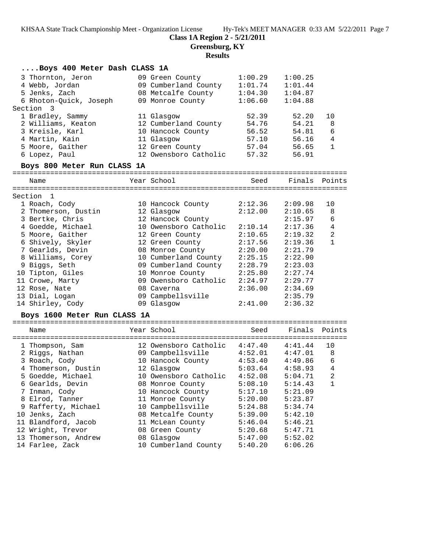**Class 1A Region 2 - 5/21/2011**

**Greensburg, KY**

### **Results**

### **....Boys 400 Meter Dash CLASS 1A**

| 3 Thornton, Jeron      | 09 Green County       | 1:00.29 | 1:00.25 |    |
|------------------------|-----------------------|---------|---------|----|
| 4 Webb, Jordan         | 09 Cumberland County  | 1:01.74 | 1:01.44 |    |
| 5 Jenks, Zach          | 08 Metcalfe County    | 1:04.30 | 1:04.87 |    |
| 6 Rhoton-Quick, Joseph | 09 Monroe County      | 1:06.60 | 1:04.88 |    |
| Section 3              |                       |         |         |    |
| 1 Bradley, Sammy       | 11 Glasgow            | 52.39   | 52.20   | 10 |
| 2 Williams, Keaton     | 12 Cumberland County  | 54.76   | 54.21   | 8  |
| 3 Kreisle, Karl        | 10 Hancock County     | 56.52   | 54.81   | 6  |
| 4 Martin, Kain         | 11 Glasgow            | 57.10   | 56.16   | 4  |
| 5 Moore, Gaither       | 12 Green County       | 57.04   | 56.65   |    |
| 6 Lopez, Paul          | 12 Owensboro Catholic | 57.32   | 56.91   |    |
|                        |                       |         |         |    |

#### **Boys 800 Meter Run CLASS 1A**

================================================================================ Seed Finals Point

| name                | rear scnooi           | seea    | rinais  | POINTS       |
|---------------------|-----------------------|---------|---------|--------------|
| Section 1           |                       |         |         |              |
| 1 Roach, Cody       | 10 Hancock County     | 2:12.36 | 2:09.98 | 10           |
| 2 Thomerson, Dustin | 12 Glasgow            | 2:12.00 | 2:10.65 | 8            |
| 3 Bertke, Chris     | 12 Hancock County     |         | 2:15.97 | 6            |
| 4 Goedde, Michael   | 10 Owensboro Catholic | 2:10.14 | 2:17.36 | 4            |
| 5 Moore, Gaither    | 12 Green County       | 2:10.65 | 2:19.32 | 2            |
| 6 Shively, Skyler   | 12 Green County       | 2:17.56 | 2:19.36 | $\mathbf{1}$ |
| 7 Gearlds, Devin    | 08 Monroe County      | 2:20.00 | 2:21.79 |              |
| 8 Williams, Corey   | 10 Cumberland County  | 2:25.15 | 2:22.90 |              |
| 9 Biggs, Seth       | 09 Cumberland County  | 2:28.79 | 2:23.03 |              |
| 10 Tipton, Giles    | 10 Monroe County      | 2:25.80 | 2:27.74 |              |
| 11 Crowe, Marty     | 09 Owensboro Catholic | 2:24.97 | 2:29.77 |              |
| 12 Rose, Nate       | 08 Caverna            | 2:36.00 | 2:34.69 |              |
| 13 Dial, Logan      | 09 Campbellsville     |         | 2:35.79 |              |
| 14 Shirley, Cody    | 09 Glasgow            | 2:41.00 | 2:36.32 |              |
|                     |                       |         |         |              |

### **Boys 1600 Meter Run CLASS 1A**

| Name                 | Year School           | Seed    | Finals  | Points         |
|----------------------|-----------------------|---------|---------|----------------|
| 1 Thompson, Sam      | 12 Owensboro Catholic | 4:47.40 | 4:41.44 | 10             |
| 2 Riggs, Nathan      | 09 Campbellsville     | 4:52.01 | 4:47.01 | 8              |
| 3 Roach, Cody        | 10 Hancock County     | 4:53.40 | 4:49.86 | 6              |
| 4 Thomerson, Dustin  | 12 Glasgow            | 5:03.64 | 4:58.93 | 4              |
| 5 Goedde, Michael    | 10 Owensboro Catholic | 4:52.08 | 5:04.71 | $\mathfrak{D}$ |
| 6 Gearlds, Devin     | 08 Monroe County      | 5:08.10 | 5:14.43 |                |
| 7 Inman, Cody        | 10 Hancock County     | 5:17.10 | 5:21.09 |                |
| 8 Elrod, Tanner      | 11 Monroe County      | 5:20.00 | 5:23.87 |                |
| 9 Rafferty, Michael  | 10 Campbellsville     | 5:24.88 | 5:34.74 |                |
| 10 Jenks, Zach       | 08 Metcalfe County    | 5:39.00 | 5:42.10 |                |
| 11 Blandford, Jacob  | 11 McLean County      | 5:46.04 | 5:46.21 |                |
| 12 Wright, Trevor    | 08 Green County       | 5:20.68 | 5:47.71 |                |
| 13 Thomerson, Andrew | 08 Glasgow            | 5:47.00 | 5:52.02 |                |
| 14 Farlee, Zack      | 10 Cumberland County  | 5:40.20 | 6:06.26 |                |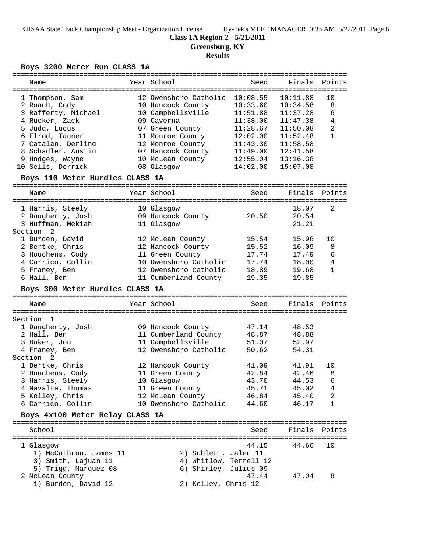#### **Class 1A Region 2 - 5/21/2011**

**Greensburg, KY**

# **Results**

# **Boys 3200 Meter Run CLASS 1A**

|                                  |                                                 | :================= |          |                |
|----------------------------------|-------------------------------------------------|--------------------|----------|----------------|
| Name                             | Year School                                     | Seed               | Finals   | Points         |
| 1 Thompson, Sam                  | 12 Owensboro Catholic                           | 10:08.55           | 10:11.88 | 10             |
| 2 Roach, Cody                    | 10 Hancock County                               | 10:33.60           | 10:34.58 | 8              |
| 3 Rafferty, Michael              | 10 Campbellsville                               | 11:51.88           | 11:37.28 | 6              |
| 4 Rucker, Zack                   | 09 Caverna                                      | 11:38.00           | 11:47.38 | 4              |
| 5 Judd, Lucus                    | 07 Green County                                 | 11:28.67           | 11:50.08 | $\overline{a}$ |
| 6 Elrod, Tanner                  | 11 Monroe County                                | 12:02.00           | 11:52.48 | $\mathbf{1}$   |
| 7 Catalan, Derling               | 12 Monroe County                                | 11:43.30           | 11:58.58 |                |
| 8 Schadler, Austin               | 07 Hancock County                               | 11:49.00           | 12:41.58 |                |
| 9 Hodges, Wayne                  | 10 McLean County                                | 12:55.04           | 13:16.38 |                |
| 10 Sells, Derrick                | 08 Glasgow                                      | 14:02.00           | 15:07.08 |                |
| Boys 110 Meter Hurdles CLASS 1A  |                                                 |                    |          |                |
|                                  |                                                 |                    |          |                |
| Name                             | Year School                                     | Seed               | Finals   | Points         |
| 1 Harris, Steely                 | 10 Glasgow                                      |                    | 18.07    | 2              |
| 2 Daugherty, Josh                | 09 Hancock County                               | 20.50              | 20.54    |                |
| 3 Huffman, Mekiah                | 11 Glasgow                                      |                    | 21.21    |                |
| Section<br>$\overline{2}$        |                                                 |                    |          |                |
| 1 Burden, David                  | 12 McLean County                                | 15.54              | 15.98    | 10             |
| 2 Bertke, Chris                  | 12 Hancock County                               | 15.52              | 16.09    | 8              |
| 3 Houchens, Cody                 | 11 Green County                                 | 17.74              | 17.49    | 6              |
| 4 Carrico, Collin                | 10 Owensboro Catholic                           | 17.74              | 18.00    | 4              |
| 5 Franey, Ben                    | 12 Owensboro Catholic                           | 18.89              | 19.68    | $\mathbf{1}$   |
| 6 Hall, Ben                      | 11 Cumberland County                            | 19.35              | 19.85    |                |
| Boys 300 Meter Hurdles CLASS 1A  |                                                 |                    |          |                |
|                                  |                                                 |                    |          |                |
|                                  |                                                 |                    |          |                |
| Name                             | Year School                                     | Seed               | Finals   | Points         |
| Section<br>$\mathbf{1}$          |                                                 |                    |          |                |
|                                  |                                                 | 47.14              | 48.53    |                |
| 1 Daugherty, Josh<br>2 Hall, Ben | 09 Hancock County<br>11 Cumberland County       | 48.87              | 48.88    |                |
| 3 Baker, Jon                     | 11 Campbellsville                               | 51.07              | 52.97    |                |
| 4 Franey, Ben                    | 12 Owensboro Catholic                           | 50.62              | 54.31    |                |
| Section<br>2                     |                                                 |                    |          |                |
| 1 Bertke, Chris                  | 12 Hancock County                               | 41.09              | 41.91    | 10             |
| 2 Houchens, Cody                 | 11 Green County                                 | 42.84              | 42.46    | 8              |
| 3 Harris, Steely                 | 10 Glasgow                                      | 43.70              | 44.53    | 6              |
| 4 Navalta, Thomas                |                                                 | 45.71              | 45.02    | 4              |
| 5 Kelley, Chris                  | 11 Green County<br>12 McLean County             | 46.84              | 45.40    | 2              |
| 6 Carrico, Collin                | 10 Owensboro Catholic                           | 44.60              | 46.17    | 1              |
|                                  |                                                 |                    |          |                |
| Boys 4x100 Meter Relay CLASS 1A  |                                                 |                    |          |                |
| School                           |                                                 | Seed               | Finals   | Points         |
| 1 Glasgow                        |                                                 | 44.15              | 44.66    | 10             |
| 1) McCathron, James 11           | 2) Sublett, Jalen 11                            |                    |          |                |
| 3) Smith, Lajuan 11              |                                                 |                    |          |                |
| 5) Trigg, Marquez 08             | 4) Whitlow, Terrell 12<br>6) Shirley, Julius 09 |                    |          |                |
| 2 McLean County                  |                                                 | 47.44              | 47.04    | 8              |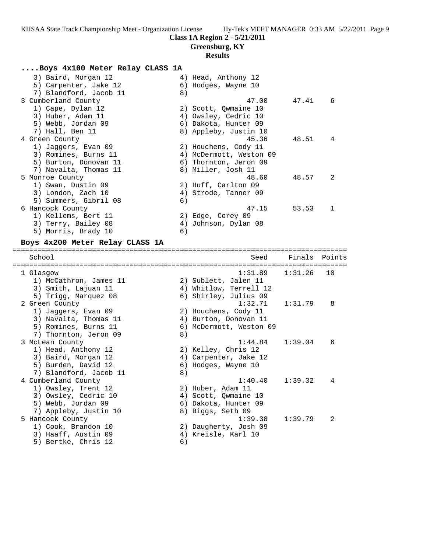# **Greensburg, KY**

# **Results**

### **....Boys 4x100 Meter Relay CLASS 1A**

| 4) Head, Anthony 12            |
|--------------------------------|
| 6) Hodges, Wayne 10            |
| 8)                             |
| 47.00<br>47.41<br>-6           |
| 2) Scott, Qwmaine 10           |
| 4) Owsley, Cedric 10           |
| 6) Dakota, Hunter 09           |
| 8) Appleby, Justin 10          |
| 45.36<br>48.51<br>4            |
| 2) Houchens, Cody 11           |
| 4) McDermott, Weston 09        |
| 6) Thornton, Jeron 09          |
| 8) Miller, Josh 11             |
| 48.60<br>48.57<br>2            |
| 2) Huff, Carlton 09            |
| 4) Strode, Tanner 09           |
| 6)                             |
| 47.15<br>53.53<br>$\mathbf{1}$ |
| 2) Edge, Corey 09              |
| 4) Johnson, Dylan 08           |
| 6)                             |
|                                |

**Boys 4x200 Meter Relay CLASS 1A**

| School                 |    | Seed                    | Finals Points |                |
|------------------------|----|-------------------------|---------------|----------------|
| 1 Glasgow              |    | 1:31.89                 | 1:31.26       | 10             |
| 1) McCathron, James 11 |    | 2) Sublett, Jalen 11    |               |                |
| 3) Smith, Lajuan 11    |    | 4) Whitlow, Terrell 12  |               |                |
| 5) Trigg, Marquez 08   |    | 6) Shirley, Julius 09   |               |                |
| 2 Green County         |    | 1:32.71                 | 1:31.79       | 8              |
| 1) Jaggers, Evan 09    |    | 2) Houchens, Cody 11    |               |                |
| 3) Navalta, Thomas 11  |    | 4) Burton, Donovan 11   |               |                |
| 5) Romines, Burns 11   |    | 6) McDermott, Weston 09 |               |                |
| 7) Thornton, Jeron 09  | 8) |                         |               |                |
| 3 McLean County        |    | 1:44.84                 | 1:39.04       | 6              |
| 1) Head, Anthony 12    |    | 2) Kelley, Chris 12     |               |                |
| 3) Baird, Morgan 12    |    | 4) Carpenter, Jake 12   |               |                |
| 5) Burden, David 12    |    | 6) Hodges, Wayne 10     |               |                |
| 7) Blandford, Jacob 11 | 8) |                         |               |                |
| 4 Cumberland County    |    | 1:40.40                 | 1:39.32       | 4              |
| 1) Owsley, Trent 12    |    | 2) Huber, Adam 11       |               |                |
| 3) Owsley, Cedric 10   |    | 4) Scott, Qwmaine 10    |               |                |
| 5) Webb, Jordan 09     |    | 6) Dakota, Hunter 09    |               |                |
| 7) Appleby, Justin 10  |    | 8) Biggs, Seth 09       |               |                |
| 5 Hancock County       |    | 1:39.38                 | 1:39.79       | $\mathfrak{D}$ |
| 1) Cook, Brandon 10    |    | 2) Daugherty, Josh 09   |               |                |
| 3) Haaff, Austin 09    |    | 4) Kreisle, Karl 10     |               |                |
| 5) Bertke, Chris 12    | 6) |                         |               |                |
|                        |    |                         |               |                |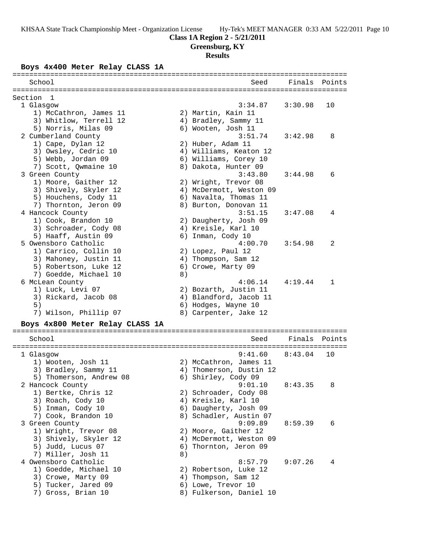**Greensburg, KY**

# **Results**

# **Boys 4x400 Meter Relay CLASS 1A**

| =====================<br>===============  |    |                                           |         |        |
|-------------------------------------------|----|-------------------------------------------|---------|--------|
| School                                    |    | Seed                                      | Finals  | Points |
| Section<br>-1                             |    |                                           |         |        |
| 1 Glasgow                                 |    | 3:34.87                                   | 3:30.98 | 10     |
| 1) McCathron, James 11                    |    | 2) Martin, Kain 11                        |         |        |
| 3) Whitlow, Terrell 12                    |    | 4) Bradley, Sammy 11                      |         |        |
| 5) Norris, Milas 09                       |    | 6) Wooten, Josh 11                        |         |        |
| 2 Cumberland County                       |    | 3:51.74                                   | 3:42.98 | 8      |
| 1) Cape, Dylan 12                         |    | 2) Huber, Adam 11                         |         |        |
| 3) Owsley, Cedric 10                      |    | 4) Williams, Keaton 12                    |         |        |
| 5) Webb, Jordan 09                        |    | 6) Williams, Corey 10                     |         |        |
| 7) Scott, Qwmaine 10                      |    | 8) Dakota, Hunter 09                      |         |        |
| 3 Green County                            |    | 3:43.80                                   | 3:44.98 | 6      |
| 1) Moore, Gaither 12                      |    | 2) Wright, Trevor 08                      |         |        |
| 3) Shively, Skyler 12                     |    | 4) McDermott, Weston 09                   |         |        |
| 5) Houchens, Cody 11                      |    | 6) Navalta, Thomas 11                     |         |        |
| 7) Thornton, Jeron 09                     |    | 8) Burton, Donovan 11                     |         |        |
| 4 Hancock County                          |    | 3:51.15                                   | 3:47.08 | 4      |
| 1) Cook, Brandon 10                       |    | 2) Daugherty, Josh 09                     |         |        |
| 3) Schroader, Cody 08                     |    | 4) Kreisle, Karl 10                       |         |        |
| 5) Haaff, Austin 09                       |    | 6) Inman, Cody 10                         |         |        |
| 5 Owensboro Catholic                      |    | 4:00.70                                   | 3:54.98 | 2      |
| 1) Carrico, Collin 10                     |    | 2) Lopez, Paul 12                         |         |        |
| 3) Mahoney, Justin 11                     |    | 4) Thompson, Sam 12                       |         |        |
| 5) Robertson, Luke 12                     |    | 6) Crowe, Marty 09                        |         |        |
| 7) Goedde, Michael 10                     | 8) |                                           |         |        |
| 6 McLean County                           |    | 4:06.14                                   | 4:19.44 | 1      |
| 1) Luck, Levi 07                          |    | 2) Bozarth, Justin 11                     |         |        |
| 3) Rickard, Jacob 08                      |    | 4) Blandford, Jacob 11                    |         |        |
| 5)                                        |    | 6) Hodges, Wayne 10                       |         |        |
| 7) Wilson, Phillip 07                     |    | 8) Carpenter, Jake 12                     |         |        |
|                                           |    |                                           |         |        |
| Boys 4x800 Meter Relay CLASS 1A           |    |                                           |         |        |
| School                                    |    | Seed                                      | Finals  | Points |
| 1 Glasgow                                 |    | 9:41.60                                   | 8:43.04 | 10     |
| 1) Wooten, Josh 11                        |    | 2) McCathron, James 11                    |         |        |
| 3) Bradley, Sammy 11                      |    | 4) Thomerson, Dustin 12                   |         |        |
| 5) Thomerson, Andrew 08                   |    | 6) Shirley, Cody 09                       |         |        |
| 2 Hancock County                          |    | 9:01.10                                   | 8:43.35 | 8      |
| 1) Bertke, Chris 12                       |    | 2) Schroader, Cody 08                     |         |        |
| 3) Roach, Cody 10                         |    | 4) Kreisle, Karl 10                       |         |        |
| 5) Inman, Cody 10                         |    | 6) Daugherty, Josh 09                     |         |        |
| 7) Cook, Brandon 10                       |    | 8) Schadler, Austin 07                    |         |        |
| 3 Green County                            |    | 9:09.89                                   | 8:59.39 | 6      |
| 1) Wright, Trevor 08                      |    | 2) Moore, Gaither 12                      |         |        |
| 3) Shively, Skyler 12                     |    | 4) McDermott, Weston 09                   |         |        |
| 5) Judd, Lucus 07                         |    | 6) Thornton, Jeron 09                     |         |        |
| 7) Miller, Josh 11                        | 8) |                                           |         |        |
| 4 Owensboro Catholic                      |    | 8:57.79                                   | 9:07.26 | 4      |
| 1) Goedde, Michael 10                     |    |                                           |         |        |
|                                           |    | 2) Robertson, Luke 12                     |         |        |
| 3) Crowe, Marty 09                        |    | 4) Thompson, Sam 12<br>6) Lowe, Trevor 10 |         |        |
| 5) Tucker, Jared 09<br>7) Gross, Brian 10 |    | 8) Fulkerson, Daniel 10                   |         |        |
|                                           |    |                                           |         |        |